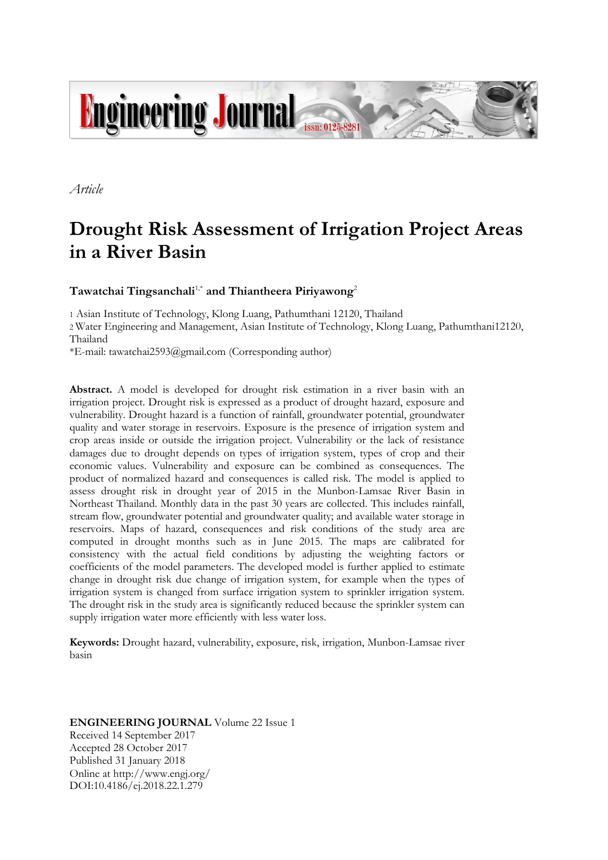

*Article*

# **Drought Risk Assessment of Irrigation Project Areas in a River Basin**

# **Tawatchai Tingsanchali**1,\* **and Thiantheera Piriyawong**<sup>2</sup>

1 Asian Institute of Technology, Klong Luang, Pathumthani 12120, Thailand

2 Water Engineering and Management, Asian Institute of Technology, Klong Luang, Pathumthani12120, Thailand

\*E-mail: tawatchai2593@gmail.com (Corresponding author)

**Abstract.** A model is developed for drought risk estimation in a river basin with an irrigation project. Drought risk is expressed as a product of drought hazard, exposure and vulnerability. Drought hazard is a function of rainfall, groundwater potential, groundwater quality and water storage in reservoirs. Exposure is the presence of irrigation system and crop areas inside or outside the irrigation project. Vulnerability or the lack of resistance damages due to drought depends on types of irrigation system, types of crop and their economic values. Vulnerability and exposure can be combined as consequences. The product of normalized hazard and consequences is called risk. The model is applied to assess drought risk in drought year of 2015 in the Munbon-Lamsae River Basin in Northeast Thailand. Monthly data in the past 30 years are collected. This includes rainfall, stream flow, groundwater potential and groundwater quality; and available water storage in reservoirs. Maps of hazard, consequences and risk conditions of the study area are computed in drought months such as in June 2015. The maps are calibrated for consistency with the actual field conditions by adjusting the weighting factors or coefficients of the model parameters. The developed model is further applied to estimate change in drought risk due change of irrigation system, for example when the types of irrigation system is changed from surface irrigation system to sprinkler irrigation system. The drought risk in the study area is significantly reduced because the sprinkler system can supply irrigation water more efficiently with less water loss.

**Keywords:** Drought hazard, vulnerability, exposure, risk, irrigation, Munbon-Lamsae river basin

# **ENGINEERING JOURNAL** Volume 22 Issue 1 Received 14 September 2017 Accepted 28 October 2017 Published 31 January 2018 Online at http://www.engj.org/ DOI:10.4186/ej.2018.22.1.279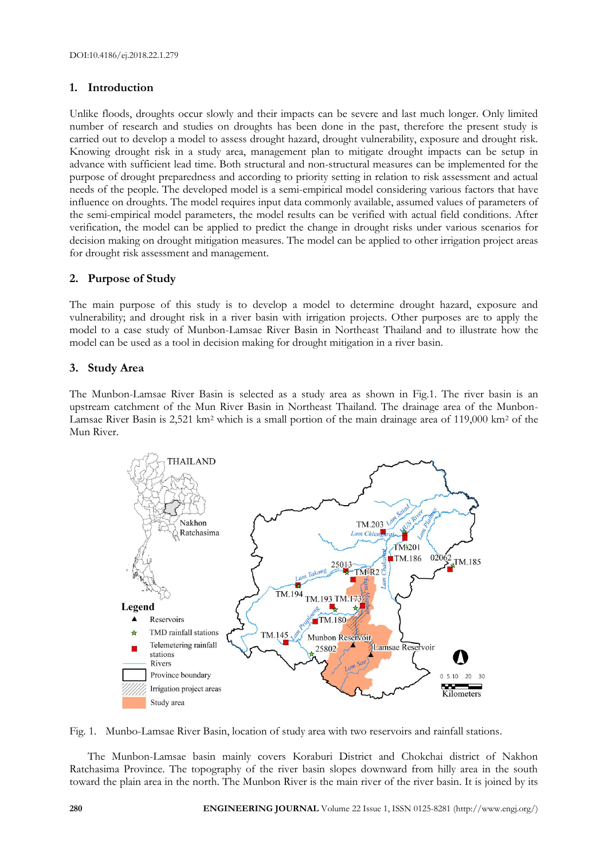# **1. Introduction**

Unlike floods, droughts occur slowly and their impacts can be severe and last much longer. Only limited number of research and studies on droughts has been done in the past, therefore the present study is carried out to develop a model to assess drought hazard, drought vulnerability, exposure and drought risk. Knowing drought risk in a study area, management plan to mitigate drought impacts can be setup in advance with sufficient lead time. Both structural and non-structural measures can be implemented for the purpose of drought preparedness and according to priority setting in relation to risk assessment and actual needs of the people. The developed model is a semi-empirical model considering various factors that have influence on droughts. The model requires input data commonly available, assumed values of parameters of the semi-empirical model parameters, the model results can be verified with actual field conditions. After verification, the model can be applied to predict the change in drought risks under various scenarios for decision making on drought mitigation measures. The model can be applied to other irrigation project areas for drought risk assessment and management.

# **2. Purpose of Study**

The main purpose of this study is to develop a model to determine drought hazard, exposure and vulnerability; and drought risk in a river basin with irrigation projects. Other purposes are to apply the model to a case study of Munbon-Lamsae River Basin in Northeast Thailand and to illustrate how the model can be used as a tool in decision making for drought mitigation in a river basin.

# **3. Study Area**

The Munbon-Lamsae River Basin is selected as a study area as shown in Fig.1. The river basin is an upstream catchment of the Mun River Basin in Northeast Thailand. The drainage area of the Munbon-Lamsae River Basin is 2,521 km<sup>2</sup> which is a small portion of the main drainage area of 119,000 km<sup>2</sup> of the Mun River.



Fig. 1. Munbo-Lamsae River Basin, location of study area with two reservoirs and rainfall stations.

The Munbon-Lamsae basin mainly covers Koraburi District and Chokchai district of Nakhon Ratchasima Province. The topography of the river basin slopes downward from hilly area in the south toward the plain area in the north. The Munbon River is the main river of the river basin. It is joined by its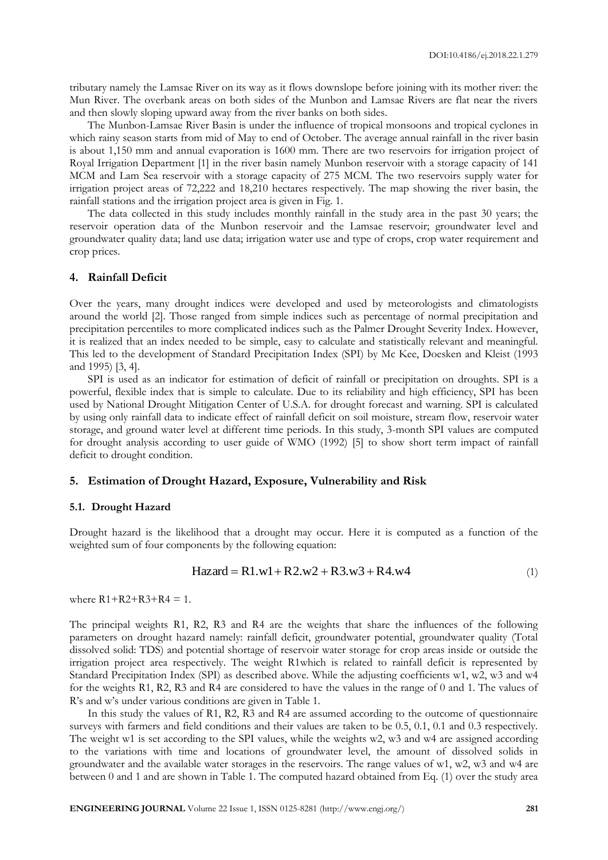tributary namely the Lamsae River on its way as it flows downslope before joining with its mother river: the Mun River. The overbank areas on both sides of the Munbon and Lamsae Rivers are flat near the rivers and then slowly sloping upward away from the river banks on both sides.

The Munbon-Lamsae River Basin is under the influence of tropical monsoons and tropical cyclones in which rainy season starts from mid of May to end of October. The average annual rainfall in the river basin is about 1,150 mm and annual evaporation is 1600 mm. There are two reservoirs for irrigation project of Royal Irrigation Department [1] in the river basin namely Munbon reservoir with a storage capacity of 141 MCM and Lam Sea reservoir with a storage capacity of 275 MCM. The two reservoirs supply water for irrigation project areas of 72,222 and 18,210 hectares respectively. The map showing the river basin, the rainfall stations and the irrigation project area is given in Fig. 1.

The data collected in this study includes monthly rainfall in the study area in the past 30 years; the reservoir operation data of the Munbon reservoir and the Lamsae reservoir; groundwater level and groundwater quality data; land use data; irrigation water use and type of crops, crop water requirement and crop prices.

## **4. Rainfall Deficit**

Over the years, many drought indices were developed and used by meteorologists and climatologists around the world [2]. Those ranged from simple indices such as percentage of normal precipitation and precipitation percentiles to more complicated indices such as the Palmer Drought Severity Index. However, it is realized that an index needed to be simple, easy to calculate and statistically relevant and meaningful. This led to the development of Standard Precipitation Index (SPI) by Mc Kee, Doesken and Kleist (1993 and 1995) [3, 4].

SPI is used as an indicator for estimation of deficit of rainfall or precipitation on droughts. SPI is a powerful, flexible index that is simple to calculate. Due to its reliability and high efficiency, SPI has been used by National Drought Mitigation Center of U.S.A. for drought forecast and warning. SPI is calculated by using only rainfall data to indicate effect of rainfall deficit on soil moisture, stream flow, reservoir water storage, and ground water level at different time periods. In this study, 3-month SPI values are computed for drought analysis according to user guide of WMO (1992) [5] to show short term impact of rainfall deficit to drought condition.

## **5. Estimation of Drought Hazard, Exposure, Vulnerability and Risk**

## **5.1. Drought Hazard**

Drought hazard is the likelihood that a drought may occur. Here it is computed as a function of the weighted sum of four components by the following equation:

$$
Hazard = R1.w1 + R2.w2 + R3.w3 + R4.w4
$$
\n(1)

where  $R1 + R2 + R3 + R4 = 1$ .

The principal weights R1, R2, R3 and R4 are the weights that share the influences of the following parameters on drought hazard namely: rainfall deficit, groundwater potential, groundwater quality (Total dissolved solid: TDS) and potential shortage of reservoir water storage for crop areas inside or outside the irrigation project area respectively. The weight R1which is related to rainfall deficit is represented by Standard Precipitation Index (SPI) as described above. While the adjusting coefficients w1, w2, w3 and w4 for the weights R1, R2, R3 and R4 are considered to have the values in the range of 0 and 1. The values of R's and w's under various conditions are given in Table 1.

In this study the values of R1, R2, R3 and R4 are assumed according to the outcome of questionnaire surveys with farmers and field conditions and their values are taken to be 0.5, 0.1, 0.1 and 0.3 respectively. The weight w1 is set according to the SPI values, while the weights w2, w3 and w4 are assigned according to the variations with time and locations of groundwater level, the amount of dissolved solids in groundwater and the available water storages in the reservoirs. The range values of w1, w2, w3 and w4 are between 0 and 1 and are shown in Table 1. The computed hazard obtained from Eq. (1) over the study area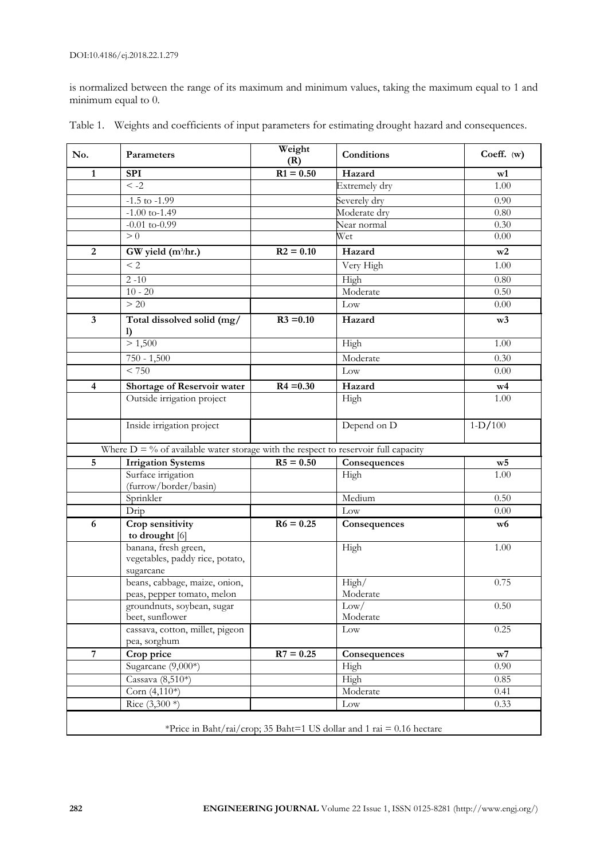is normalized between the range of its maximum and minimum values, taking the maximum equal to 1 and minimum equal to 0.

| No.                     | Parameters                                                                                     | Weight<br>(R) | Conditions       | Coeff. (w)     |  |
|-------------------------|------------------------------------------------------------------------------------------------|---------------|------------------|----------------|--|
| $\mathbf{1}$            | <b>SPI</b>                                                                                     | $R1 = 0.50$   | Hazard           | w1             |  |
|                         | $\leq -2$                                                                                      |               | Extremely dry    | 1.00           |  |
|                         | $-1.5$ to $-1.99$                                                                              |               | Severely dry     | 0.90           |  |
|                         | $-1.00$ to-1.49                                                                                |               | Moderate dry     | 0.80           |  |
|                         | $-0.01$ to- $0.99$                                                                             |               | Near normal      | 0.30           |  |
|                         | > 0                                                                                            |               | Wet              | 0.00           |  |
| $\overline{2}$          | GW yield (m <sup>3</sup> /hr.)                                                                 | $R2 = 0.10$   | Hazard           | w2             |  |
|                         | < 2                                                                                            |               | Very High        | 1.00           |  |
|                         | $2 - 10$                                                                                       |               | High             | 0.80           |  |
|                         | $10 - 20$                                                                                      |               | Moderate         | 0.50           |  |
|                         | > 20                                                                                           |               | Low              | 0.00           |  |
| $\overline{\mathbf{3}}$ | Total dissolved solid (mg/<br>$\mathbf{I}$                                                     | $R3 = 0.10$   | Hazard           | w3             |  |
|                         | > 1,500                                                                                        |               | High             | 1.00           |  |
|                         | $750 - 1,500$                                                                                  |               | Moderate         | 0.30           |  |
|                         | < 750                                                                                          |               | Low              | 0.00           |  |
| $\overline{\mathbf{4}}$ | Shortage of Reservoir water                                                                    | $R4 = 0.30$   | Hazard           | w4             |  |
|                         | Outside irrigation project                                                                     |               | High             | 1.00           |  |
|                         | Inside irrigation project                                                                      |               | Depend on D      | $1-D/100$      |  |
|                         | Where $D = \frac{6}{3}$ of available water storage with the respect to reservoir full capacity |               |                  |                |  |
| $\overline{5}$          | <b>Irrigation Systems</b>                                                                      | $R5 = 0.50$   | Consequences     | W <sub>5</sub> |  |
|                         | Surface irrigation                                                                             |               | High             | 1.00           |  |
|                         | (furrow/border/basin)                                                                          |               |                  |                |  |
|                         | Sprinkler                                                                                      |               | Medium           | 0.50           |  |
|                         | Drip                                                                                           |               | Low              | 0.00           |  |
| 6                       | Crop sensitivity<br>to drought [6]                                                             | $R6 = 0.25$   | Consequences     | w <sub>6</sub> |  |
|                         | banana, fresh green,<br>vegetables, paddy rice, potato,<br>sugarcane                           |               | High             | 1.00           |  |
|                         | beans, cabbage, maize, onion,                                                                  |               | High/            | 0.75           |  |
|                         | peas, pepper tomato, melon                                                                     |               | Moderate         |                |  |
|                         | groundnuts, soybean, sugar<br>beet, sunflower                                                  |               | Low/<br>Moderate | 0.50           |  |
|                         | cassava, cotton, millet, pigeon                                                                |               | Low              | 0.25           |  |
|                         | pea, sorghum                                                                                   |               |                  |                |  |
| $\overline{7}$          | Crop price                                                                                     | $R7 = 0.25$   | Consequences     | W <sub>7</sub> |  |
|                         | Sugarcane (9,000*)                                                                             |               | High             | 0.90           |  |
|                         | Cassava (8,510*)                                                                               |               | High             | 0.85           |  |
|                         | Corn (4,110*)                                                                                  |               | Moderate         | 0.41           |  |
|                         | Rice $(3,300*)$                                                                                |               | Low              | 0.33           |  |
|                         | *Price in Baht/rai/crop; 35 Baht=1 US dollar and 1 rai = 0.16 hectare                          |               |                  |                |  |

Table 1. Weights and coefficients of input parameters for estimating drought hazard and consequences.

**282 ENGINEERING JOURNAL** Volume 22 Issue 1, ISSN 0125-8281 (http://www.engj.org/)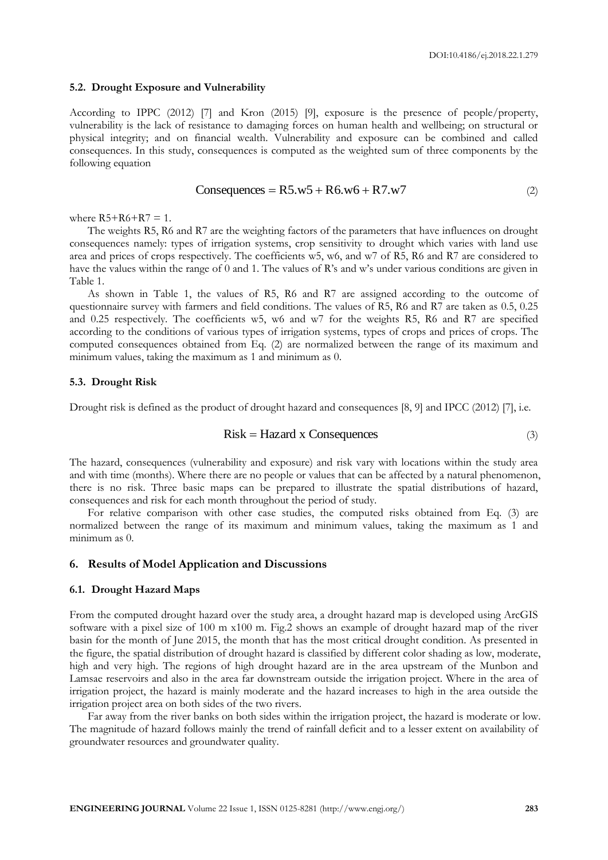#### **5.2. Drought Exposure and Vulnerability**

According to IPPC (2012) [7] and Kron (2015) [9], exposure is the presence of people/property, vulnerability is the lack of resistance to damaging forces on human health and wellbeing; on structural or physical integrity; and on financial wealth. Vulnerability and exposure can be combined and called consequences. In this study, consequences is computed as the weighted sum of three components by the following equation

$$
Consequences = R5.w5 + R6.w6 + R7.w7
$$
\n<sup>(2)</sup>

where  $R5 + R6 + R7 = 1$ .

The weights R5, R6 and R7 are the weighting factors of the parameters that have influences on drought consequences namely: types of irrigation systems, crop sensitivity to drought which varies with land use area and prices of crops respectively. The coefficients w5, w6, and w7 of R5, R6 and R7 are considered to have the values within the range of 0 and 1. The values of R's and w's under various conditions are given in Table 1.

As shown in Table 1, the values of R5, R6 and R7 are assigned according to the outcome of questionnaire survey with farmers and field conditions. The values of R5, R6 and R7 are taken as 0.5, 0.25 and 0.25 respectively. The coefficients w5, w6 and w7 for the weights R5, R6 and R7 are specified according to the conditions of various types of irrigation systems, types of crops and prices of crops. The computed consequences obtained from Eq. (2) are normalized between the range of its maximum and minimum values, taking the maximum as 1 and minimum as 0.

#### **5.3. Drought Risk**

Drought risk is defined as the product of drought hazard and consequences [8, 9] and IPCC (2012) [7], i.e.

$$
Risk = Hazard \times Consequences
$$
\n<sup>(3)</sup>

The hazard, consequences (vulnerability and exposure) and risk vary with locations within the study area and with time (months). Where there are no people or values that can be affected by a natural phenomenon, there is no risk. Three basic maps can be prepared to illustrate the spatial distributions of hazard, consequences and risk for each month throughout the period of study.

For relative comparison with other case studies, the computed risks obtained from Eq. (3) are normalized between the range of its maximum and minimum values, taking the maximum as 1 and minimum as 0.

# **6. Results of Model Application and Discussions**

#### **6.1. Drought Hazard Maps**

From the computed drought hazard over the study area, a drought hazard map is developed using ArcGIS software with a pixel size of 100 m x100 m. Fig.2 shows an example of drought hazard map of the river basin for the month of June 2015, the month that has the most critical drought condition. As presented in the figure, the spatial distribution of drought hazard is classified by different color shading as low, moderate, high and very high. The regions of high drought hazard are in the area upstream of the Munbon and Lamsae reservoirs and also in the area far downstream outside the irrigation project. Where in the area of irrigation project, the hazard is mainly moderate and the hazard increases to high in the area outside the irrigation project area on both sides of the two rivers.

Far away from the river banks on both sides within the irrigation project, the hazard is moderate or low. The magnitude of hazard follows mainly the trend of rainfall deficit and to a lesser extent on availability of groundwater resources and groundwater quality.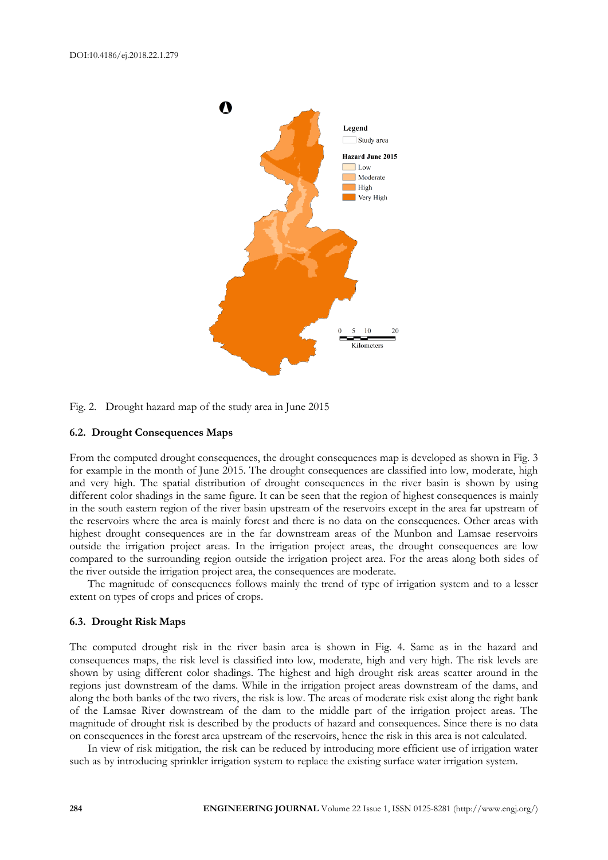

Fig. 2. Drought hazard map of the study area in June 2015

## **6.2. Drought Consequences Maps**

From the computed drought consequences, the drought consequences map is developed as shown in Fig. 3 for example in the month of June 2015. The drought consequences are classified into low, moderate, high and very high. The spatial distribution of drought consequences in the river basin is shown by using different color shadings in the same figure. It can be seen that the region of highest consequences is mainly in the south eastern region of the river basin upstream of the reservoirs except in the area far upstream of the reservoirs where the area is mainly forest and there is no data on the consequences. Other areas with highest drought consequences are in the far downstream areas of the Munbon and Lamsae reservoirs outside the irrigation project areas. In the irrigation project areas, the drought consequences are low compared to the surrounding region outside the irrigation project area. For the areas along both sides of the river outside the irrigation project area, the consequences are moderate.

The magnitude of consequences follows mainly the trend of type of irrigation system and to a lesser extent on types of crops and prices of crops.

## **6.3. Drought Risk Maps**

The computed drought risk in the river basin area is shown in Fig. 4. Same as in the hazard and consequences maps, the risk level is classified into low, moderate, high and very high. The risk levels are shown by using different color shadings. The highest and high drought risk areas scatter around in the regions just downstream of the dams. While in the irrigation project areas downstream of the dams, and along the both banks of the two rivers, the risk is low. The areas of moderate risk exist along the right bank of the Lamsae River downstream of the dam to the middle part of the irrigation project areas. The magnitude of drought risk is described by the products of hazard and consequences. Since there is no data on consequences in the forest area upstream of the reservoirs, hence the risk in this area is not calculated.

In view of risk mitigation, the risk can be reduced by introducing more efficient use of irrigation water such as by introducing sprinkler irrigation system to replace the existing surface water irrigation system.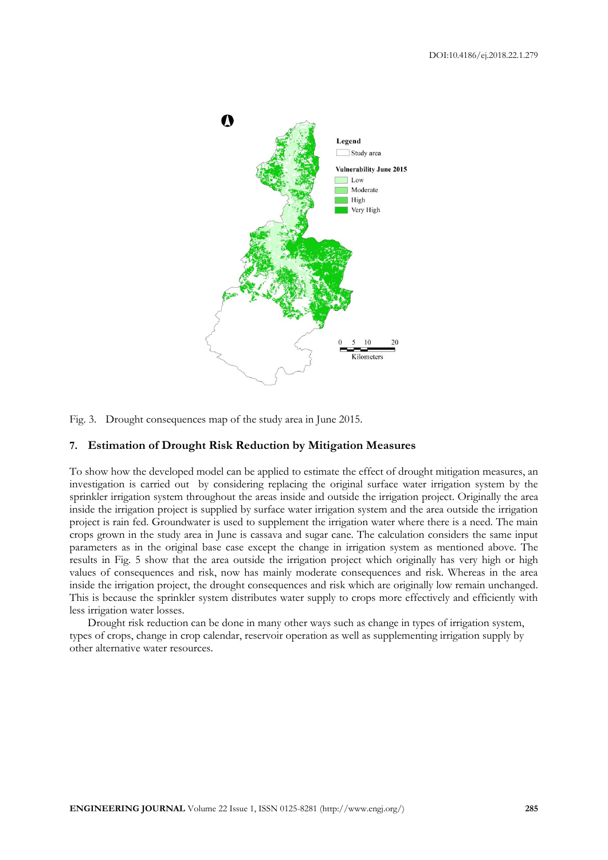

Fig. 3. Drought consequences map of the study area in June 2015.

# **7. Estimation of Drought Risk Reduction by Mitigation Measures**

To show how the developed model can be applied to estimate the effect of drought mitigation measures, an investigation is carried out by considering replacing the original surface water irrigation system by the sprinkler irrigation system throughout the areas inside and outside the irrigation project. Originally the area inside the irrigation project is supplied by surface water irrigation system and the area outside the irrigation project is rain fed. Groundwater is used to supplement the irrigation water where there is a need. The main crops grown in the study area in June is cassava and sugar cane. The calculation considers the same input parameters as in the original base case except the change in irrigation system as mentioned above. The results in Fig. 5 show that the area outside the irrigation project which originally has very high or high values of consequences and risk, now has mainly moderate consequences and risk. Whereas in the area inside the irrigation project, the drought consequences and risk which are originally low remain unchanged. This is because the sprinkler system distributes water supply to crops more effectively and efficiently with less irrigation water losses.

Drought risk reduction can be done in many other ways such as change in types of irrigation system, types of crops, change in crop calendar, reservoir operation as well as supplementing irrigation supply by other alternative water resources.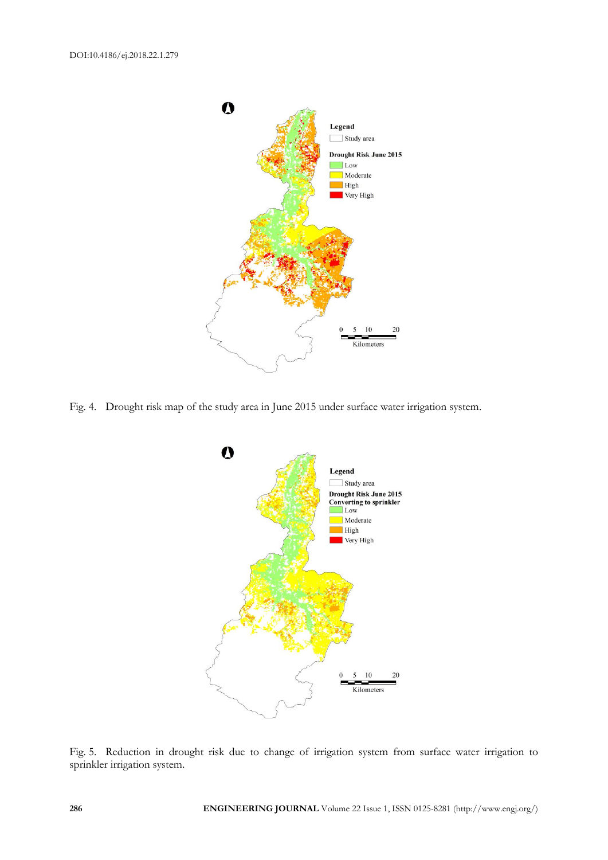

Fig. 4. Drought risk map of the study area in June 2015 under surface water irrigation system.



Fig. 5. Reduction in drought risk due to change of irrigation system from surface water irrigation to sprinkler irrigation system.